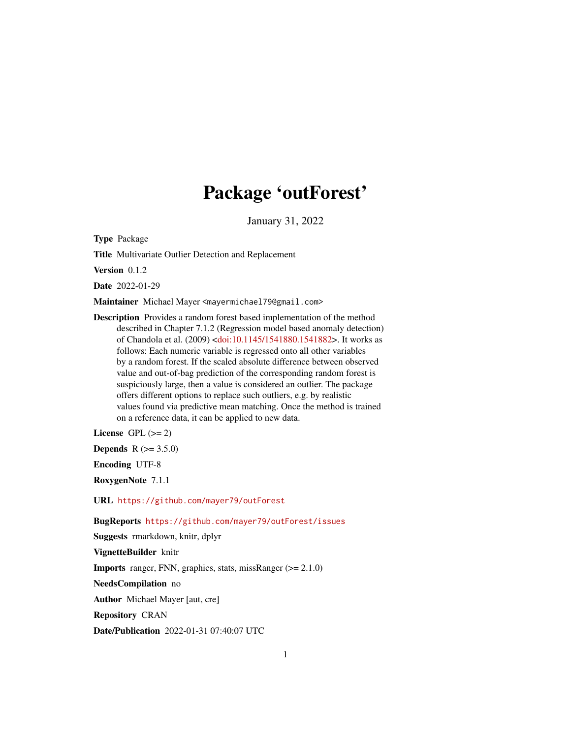## Package 'outForest'

January 31, 2022

Type Package

Title Multivariate Outlier Detection and Replacement

Version 0.1.2

Date 2022-01-29

Maintainer Michael Mayer <mayermichael79@gmail.com>

Description Provides a random forest based implementation of the method described in Chapter 7.1.2 (Regression model based anomaly detection) of Chandola et al. (2009) [<doi:10.1145/1541880.1541882>](https://doi.org/10.1145/1541880.1541882). It works as follows: Each numeric variable is regressed onto all other variables by a random forest. If the scaled absolute difference between observed value and out-of-bag prediction of the corresponding random forest is suspiciously large, then a value is considered an outlier. The package offers different options to replace such outliers, e.g. by realistic values found via predictive mean matching. Once the method is trained on a reference data, it can be applied to new data.

License GPL  $(>= 2)$ 

**Depends**  $R (= 3.5.0)$ 

Encoding UTF-8

RoxygenNote 7.1.1

URL <https://github.com/mayer79/outForest>

BugReports <https://github.com/mayer79/outForest/issues>

Suggests rmarkdown, knitr, dplyr

VignetteBuilder knitr

Imports ranger, FNN, graphics, stats, missRanger (>= 2.1.0)

NeedsCompilation no

Author Michael Mayer [aut, cre]

Repository CRAN

Date/Publication 2022-01-31 07:40:07 UTC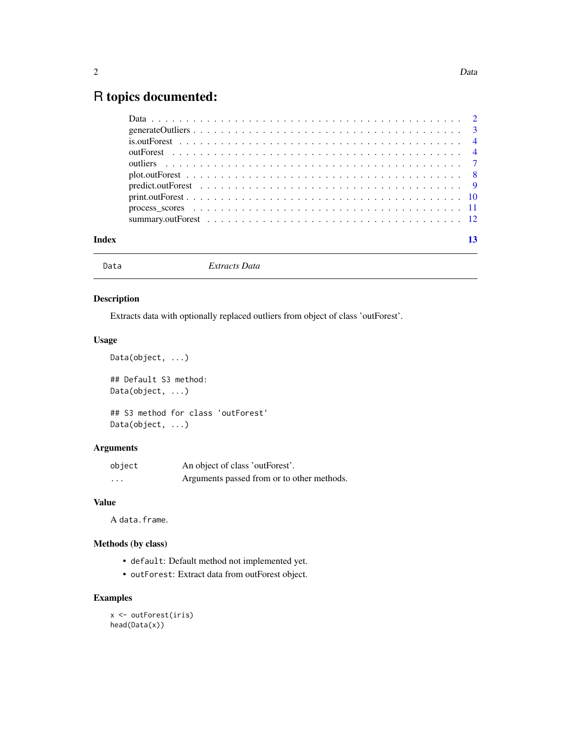## <span id="page-1-0"></span>R topics documented:

| Index |  |
|-------|--|
|       |  |

Data *Extracts Data*

#### Description

Extracts data with optionally replaced outliers from object of class 'outForest'.

#### Usage

```
Data(object, ...)
## Default S3 method:
Data(object, ...)
## S3 method for class 'outForest'
Data(object, ...)
```
#### Arguments

| object   | An object of class 'outForest'.            |
|----------|--------------------------------------------|
| $\cdots$ | Arguments passed from or to other methods. |

#### Value

A data.frame.

#### Methods (by class)

- default: Default method not implemented yet.
- outForest: Extract data from outForest object.

```
x <- outForest(iris)
head(Data(x))
```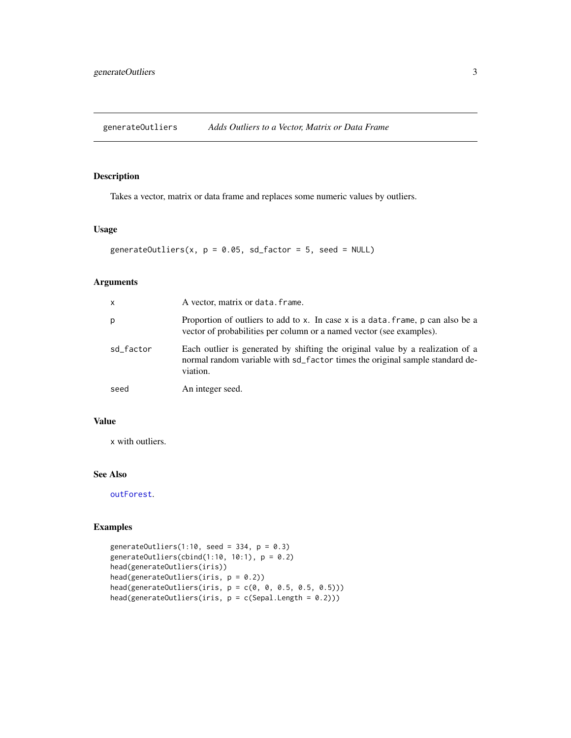<span id="page-2-0"></span>generateOutliers *Adds Outliers to a Vector, Matrix or Data Frame*

#### Description

Takes a vector, matrix or data frame and replaces some numeric values by outliers.

#### Usage

```
generateOutliers(x, p = 0.05, sd_factor = 5, seed = NULL)
```
#### Arguments

| x         | A vector, matrix or data. frame.                                                                                                                                           |
|-----------|----------------------------------------------------------------------------------------------------------------------------------------------------------------------------|
| p         | Proportion of outliers to add to x. In case x is a data, frame, p can also be a<br>vector of probabilities per column or a named vector (see examples).                    |
| sd_factor | Each outlier is generated by shifting the original value by a realization of a<br>normal random variable with sd_factor times the original sample standard de-<br>viation. |
| seed      | An integer seed.                                                                                                                                                           |

#### Value

x with outliers.

#### See Also

[outForest](#page-3-1).

```
generateOutliers(1:10, seed = 334, p = 0.3)
generateOutliers(cbind(1:10, 10:1), p = 0.2)
head(generateOutliers(iris))
head(generateOutliers(iris, p = 0.2))
head(generateOutliers(iris, p = c(0, 0, 0.5, 0.5, 0.5)))head(generateOutliers(iris, p = c(Sepal.Length = 0.2)))
```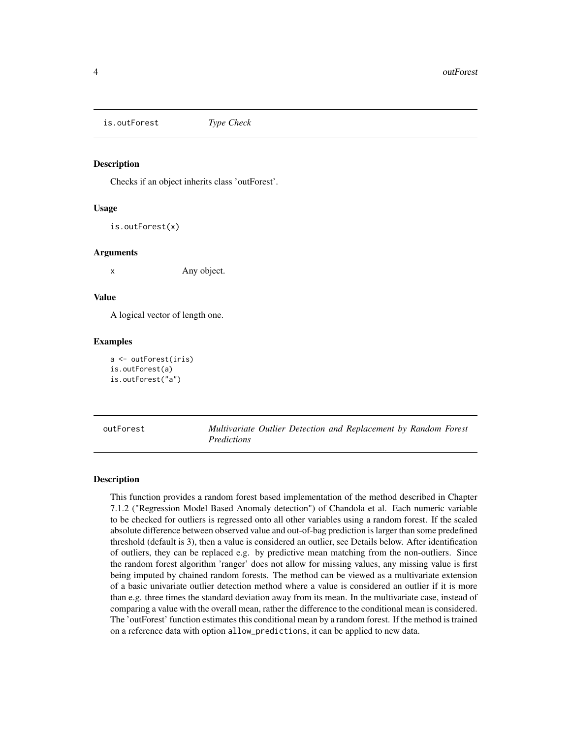<span id="page-3-0"></span>is.outForest *Type Check*

#### Description

Checks if an object inherits class 'outForest'.

#### Usage

is.outForest(x)

#### Arguments

x Any object.

#### Value

A logical vector of length one.

#### Examples

```
a <- outForest(iris)
is.outForest(a)
is.outForest("a")
```
<span id="page-3-1"></span>outForest *Multivariate Outlier Detection and Replacement by Random Forest Predictions*

#### Description

This function provides a random forest based implementation of the method described in Chapter 7.1.2 ("Regression Model Based Anomaly detection") of Chandola et al. Each numeric variable to be checked for outliers is regressed onto all other variables using a random forest. If the scaled absolute difference between observed value and out-of-bag prediction is larger than some predefined threshold (default is 3), then a value is considered an outlier, see Details below. After identification of outliers, they can be replaced e.g. by predictive mean matching from the non-outliers. Since the random forest algorithm 'ranger' does not allow for missing values, any missing value is first being imputed by chained random forests. The method can be viewed as a multivariate extension of a basic univariate outlier detection method where a value is considered an outlier if it is more than e.g. three times the standard deviation away from its mean. In the multivariate case, instead of comparing a value with the overall mean, rather the difference to the conditional mean is considered. The 'outForest' function estimates this conditional mean by a random forest. If the method is trained on a reference data with option allow\_predictions, it can be applied to new data.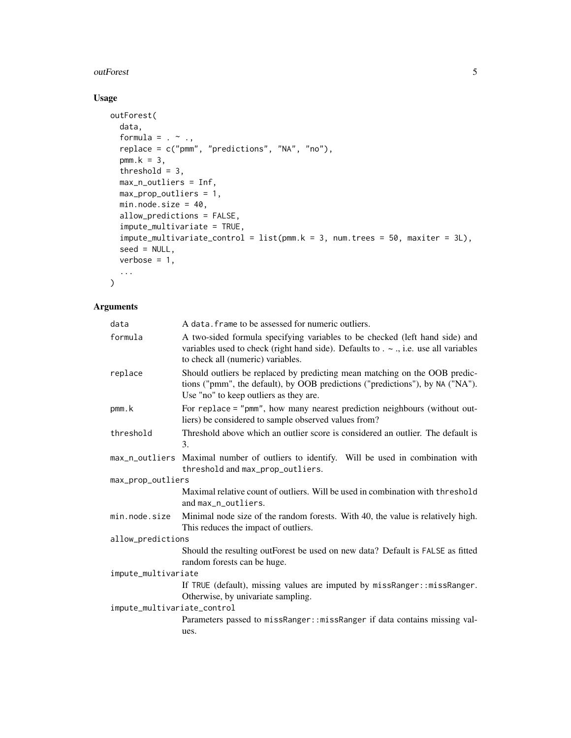#### outForest 5

### Usage

```
outForest(
  data,
  formula = . ~ ~ \sim ~ .,
  replace = c("pmm", "predictions", "NA", "no"),
  pmm.k = 3,
  threshold = 3,
  max_n_outliers = Inf,
  max_prop_outliers = 1,
  min.node.size = 40,
  allow_predictions = FALSE,
  impute_multivariate = TRUE,
  impute_multivariate_countrol = list(pmm.k = 3, num.trees = 50, maxiter = 3L),seed = NULL,
  verbose = 1,
  ...
```
#### Arguments

 $\mathcal{L}$ 

| data                        | A data, frame to be assessed for numeric outliers.                                                                                                                                                          |  |
|-----------------------------|-------------------------------------------------------------------------------------------------------------------------------------------------------------------------------------------------------------|--|
| formula                     | A two-sided formula specifying variables to be checked (left hand side) and<br>variables used to check (right hand side). Defaults to $\sim$ ., i.e. use all variables<br>to check all (numeric) variables. |  |
| replace                     | Should outliers be replaced by predicting mean matching on the OOB predic-<br>tions ("pmm", the default), by OOB predictions ("predictions"), by NA ("NA").<br>Use "no" to keep outliers as they are.       |  |
| pmm.k                       | For replace = "pmm", how many nearest prediction neighbours (without out-<br>liers) be considered to sample observed values from?                                                                           |  |
| threshold                   | Threshold above which an outlier score is considered an outlier. The default is<br>3.                                                                                                                       |  |
|                             | max_n_outliers Maximal number of outliers to identify. Will be used in combination with<br>threshold and max_prop_outliers.                                                                                 |  |
| max_prop_outliers           |                                                                                                                                                                                                             |  |
|                             | Maximal relative count of outliers. Will be used in combination with threshold<br>and max_n_outliers.                                                                                                       |  |
| min.node.size               | Minimal node size of the random forests. With 40, the value is relatively high.<br>This reduces the impact of outliers.                                                                                     |  |
| allow_predictions           |                                                                                                                                                                                                             |  |
|                             | Should the resulting outForest be used on new data? Default is FALSE as fitted<br>random forests can be huge.                                                                                               |  |
| impute_multivariate         |                                                                                                                                                                                                             |  |
|                             | If TRUE (default), missing values are imputed by missRanger:: missRanger.<br>Otherwise, by univariate sampling.                                                                                             |  |
| impute_multivariate_control |                                                                                                                                                                                                             |  |
|                             | Parameters passed to missRanger:: missRanger if data contains missing val-<br>ues.                                                                                                                          |  |
|                             |                                                                                                                                                                                                             |  |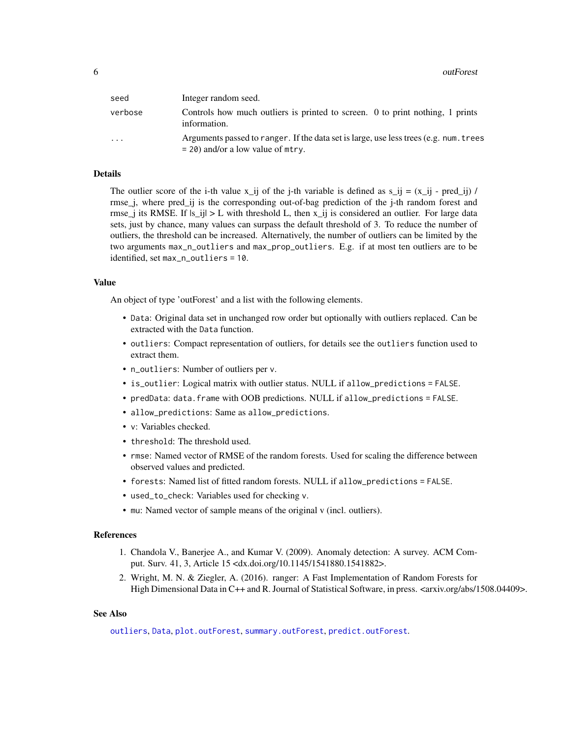<span id="page-5-0"></span>

| seed    | Integer random seed.                                                                                                         |
|---------|------------------------------------------------------------------------------------------------------------------------------|
| verbose | Controls how much outliers is printed to screen. 0 to print nothing, 1 prints<br>information.                                |
| .       | Arguments passed to ranger. If the data set is large, use less trees (e.g. num. trees<br>$=$ 20) and/or a low value of mtry. |

#### Details

The outlier score of the i-th value  $x_{ij}$  of the j-th variable is defined as  $s_{ij} = (x_{ij} - pred_{ij}) /$ rmse\_j, where pred\_ij is the corresponding out-of-bag prediction of the j-th random forest and rmse<sub>ri</sub> its RMSE. If  $|s_i| > L$  with threshold L, then x<sub>i</sub> is considered an outlier. For large data sets, just by chance, many values can surpass the default threshold of 3. To reduce the number of outliers, the threshold can be increased. Alternatively, the number of outliers can be limited by the two arguments max\_n\_outliers and max\_prop\_outliers. E.g. if at most ten outliers are to be identified, set max\_n\_outliers = 10.

#### Value

An object of type 'outForest' and a list with the following elements.

- Data: Original data set in unchanged row order but optionally with outliers replaced. Can be extracted with the Data function.
- outliers: Compact representation of outliers, for details see the outliers function used to extract them.
- n\_outliers: Number of outliers per v.
- is\_outlier: Logical matrix with outlier status. NULL if allow\_predictions = FALSE.
- predData: data.frame with OOB predictions. NULL if allow\_predictions = FALSE.
- allow\_predictions: Same as allow\_predictions.
- v: Variables checked.
- threshold: The threshold used.
- rmse: Named vector of RMSE of the random forests. Used for scaling the difference between observed values and predicted.
- forests: Named list of fitted random forests. NULL if allow\_predictions = FALSE.
- used\_to\_check: Variables used for checking v.
- mu: Named vector of sample means of the original v (incl. outliers).

#### References

- 1. Chandola V., Banerjee A., and Kumar V. (2009). Anomaly detection: A survey. ACM Comput. Surv. 41, 3, Article 15 <dx.doi.org/10.1145/1541880.1541882>.
- 2. Wright, M. N. & Ziegler, A. (2016). ranger: A Fast Implementation of Random Forests for High Dimensional Data in C++ and R. Journal of Statistical Software, in press. <arxiv.org/abs/1508.04409>.

#### See Also

[outliers](#page-6-1), [Data](#page-1-1), [plot.outForest](#page-7-1), [summary.outForest](#page-11-1), [predict.outForest](#page-8-1).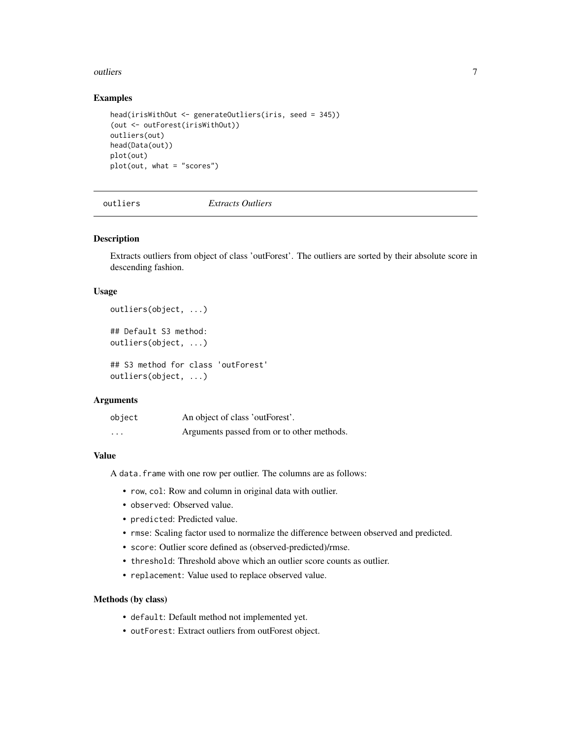#### <span id="page-6-0"></span>outliers **7**

#### Examples

```
head(irisWithOut <- generateOutliers(iris, seed = 345))
(out <- outForest(irisWithOut))
outliers(out)
head(Data(out))
plot(out)
plot(out, what = "scores")
```
<span id="page-6-1"></span>

outliers *Extracts Outliers*

#### Description

Extracts outliers from object of class 'outForest'. The outliers are sorted by their absolute score in descending fashion.

#### Usage

```
outliers(object, ...)
## Default S3 method:
outliers(object, ...)
## S3 method for class 'outForest'
outliers(object, ...)
```
#### Arguments

| object   | An object of class 'outForest'.            |
|----------|--------------------------------------------|
| $\cdots$ | Arguments passed from or to other methods. |

#### Value

A data.frame with one row per outlier. The columns are as follows:

- row, col: Row and column in original data with outlier.
- observed: Observed value.
- predicted: Predicted value.
- rmse: Scaling factor used to normalize the difference between observed and predicted.
- score: Outlier score defined as (observed-predicted)/rmse.
- threshold: Threshold above which an outlier score counts as outlier.
- replacement: Value used to replace observed value.

#### Methods (by class)

- default: Default method not implemented yet.
- outForest: Extract outliers from outForest object.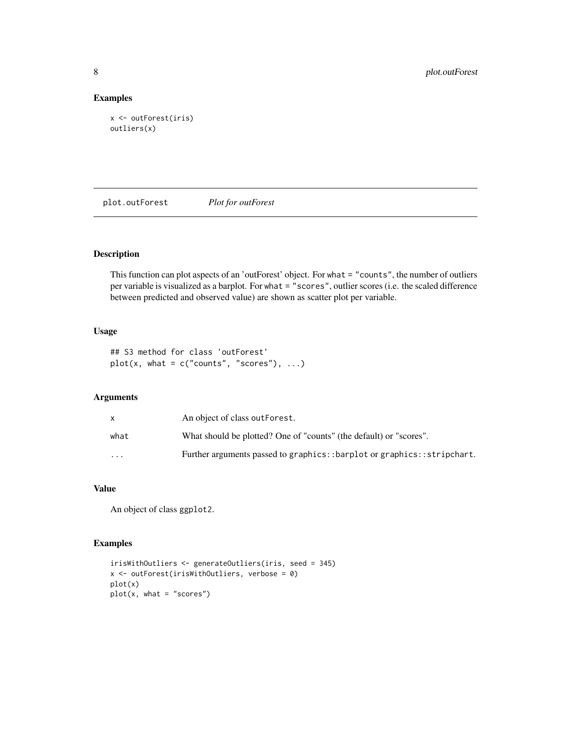#### Examples

```
x <- outForest(iris)
outliers(x)
```
<span id="page-7-1"></span>plot.outForest *Plot for outForest*

#### Description

This function can plot aspects of an 'outForest' object. For what = "counts", the number of outliers per variable is visualized as a barplot. For what = "scores", outlier scores (i.e. the scaled difference between predicted and observed value) are shown as scatter plot per variable.

#### Usage

```
## S3 method for class 'outForest'
plot(x, what = c("counts", "scores"), ...)
```
#### Arguments

|          | An object of class out Forest.                                         |
|----------|------------------------------------------------------------------------|
| what     | What should be plotted? One of "counts" (the default) or "scores".     |
| $\cdots$ | Further arguments passed to graphics::barplot or graphics::stripchart. |

#### Value

An object of class ggplot2.

```
irisWithOutliers <- generateOutliers(iris, seed = 345)
x <- outForest(irisWithOutliers, verbose = 0)
plot(x)
plot(x, what = "scores")
```
<span id="page-7-0"></span>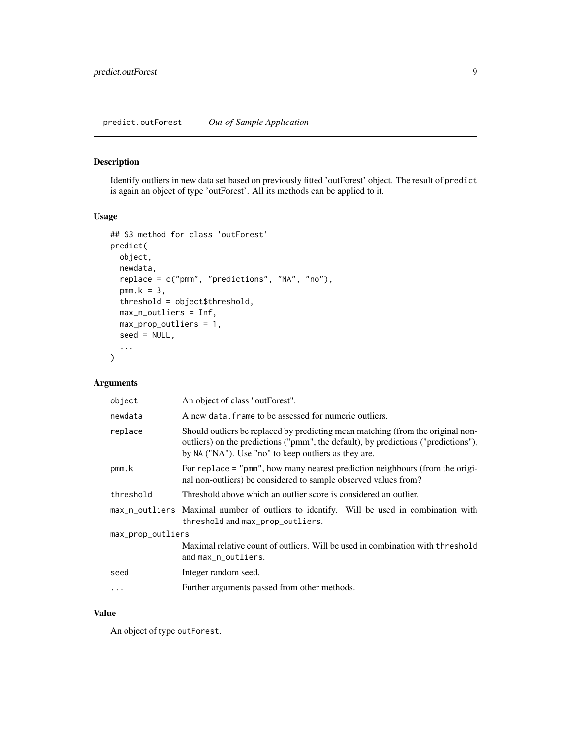#### <span id="page-8-1"></span><span id="page-8-0"></span>Description

Identify outliers in new data set based on previously fitted 'outForest' object. The result of predict is again an object of type 'outForest'. All its methods can be applied to it.

#### Usage

```
## S3 method for class 'outForest'
predict(
 object,
 newdata,
  replace = c("pmm", "predictions", "NA", "no"),
 pmm.k = 3,
  threshold = object$threshold,
 max_n_outliers = Inf,
 max_prop_outliers = 1,
 seed = NULL,
  ...
)
```
#### Arguments

| An object of class "outForest".                                                                                                                                                                                               |  |  |
|-------------------------------------------------------------------------------------------------------------------------------------------------------------------------------------------------------------------------------|--|--|
| A new data, frame to be assessed for numeric outliers.                                                                                                                                                                        |  |  |
| Should outliers be replaced by predicting mean matching (from the original non-<br>outliers) on the predictions ("pmm", the default), by predictions ("predictions"),<br>by NA ("NA"). Use "no" to keep outliers as they are. |  |  |
| For replace = "pmm", how many nearest prediction neighbours (from the origi-<br>nal non-outliers) be considered to sample observed values from?                                                                               |  |  |
| Threshold above which an outlier score is considered an outlier.                                                                                                                                                              |  |  |
| max_n_outliers Maximal number of outliers to identify. Will be used in combination with<br>threshold and max_prop_outliers.                                                                                                   |  |  |
| max_prop_outliers                                                                                                                                                                                                             |  |  |
| Maximal relative count of outliers. Will be used in combination with threshold<br>and max_n_outliers.                                                                                                                         |  |  |
| Integer random seed.                                                                                                                                                                                                          |  |  |
| Further arguments passed from other methods.                                                                                                                                                                                  |  |  |
|                                                                                                                                                                                                                               |  |  |

#### Value

An object of type outForest.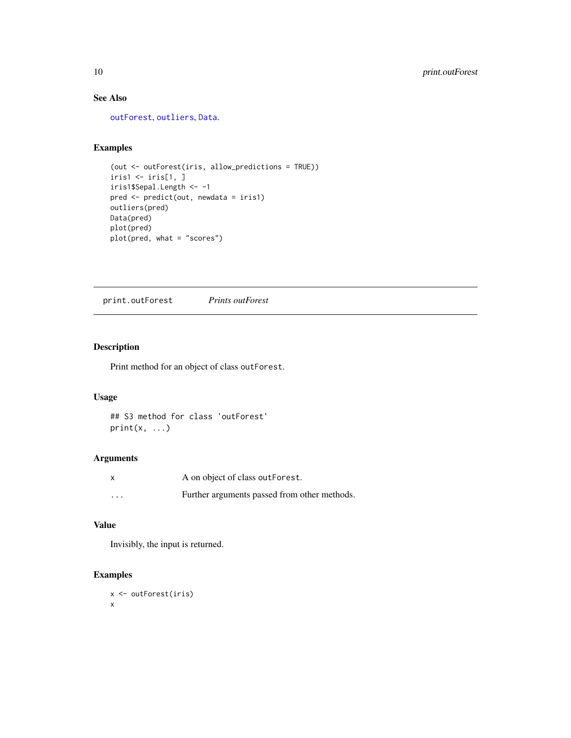### See Also

[outForest](#page-3-1), [outliers](#page-6-1), [Data](#page-1-1).

#### Examples

```
(out <- outForest(iris, allow_predictions = TRUE))
iris1 \leftarrow iris[1, 1]iris1$Sepal.Length <- -1
pred <- predict(out, newdata = iris1)
outliers(pred)
Data(pred)
plot(pred)
plot(pred, what = "scores")
```
print.outForest *Prints outForest*

#### Description

Print method for an object of class outForest.

#### Usage

```
## S3 method for class 'outForest'
print(x, \ldots)
```
#### Arguments

|                         | A on object of class out Forest.             |
|-------------------------|----------------------------------------------|
| $\cdot$ $\cdot$ $\cdot$ | Further arguments passed from other methods. |

#### Value

Invisibly, the input is returned.

```
x <- outForest(iris)
x
```
<span id="page-9-0"></span>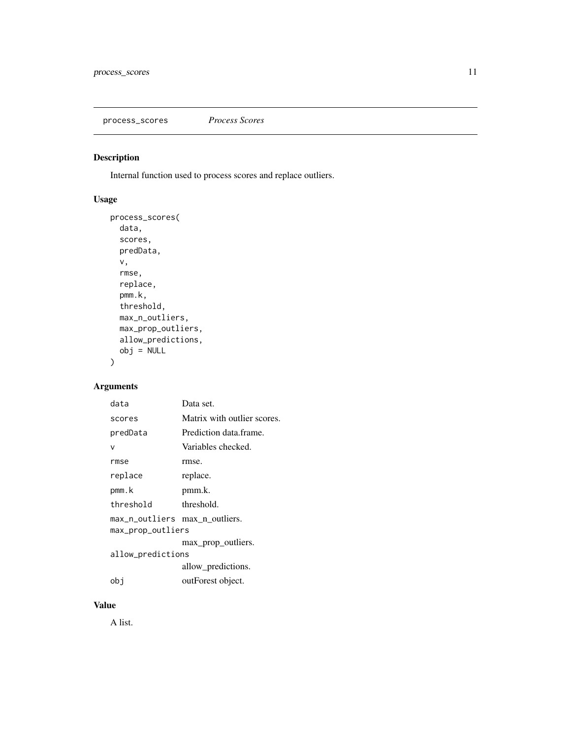<span id="page-10-0"></span>process\_scores *Process Scores*

#### Description

Internal function used to process scores and replace outliers.

### Usage

```
process_scores(
  data,
  scores,
  predData,
  v,
  rmse,
  replace,
  pmm.k,
  threshold,
  max_n_outliers,
  max_prop_outliers,
  allow_predictions,
  obj = NULL)
```
#### Arguments

| data                           | Data set.                   |  |
|--------------------------------|-----------------------------|--|
| scores                         | Matrix with outlier scores. |  |
| predData                       | Prediction data frame.      |  |
| ν                              | Variables checked.          |  |
| rmse                           | rmse.                       |  |
| replace                        | replace.                    |  |
| pmm.k                          | pmm.k.                      |  |
| threshold                      | threshold.                  |  |
| max_n_outliers max_n_outliers. |                             |  |
| max_prop_outliers              |                             |  |
|                                | max_prop_outliers.          |  |
| allow_predictions              |                             |  |
|                                | allow predictions.          |  |
| obi                            | outForest object.           |  |
|                                |                             |  |

#### Value

A list.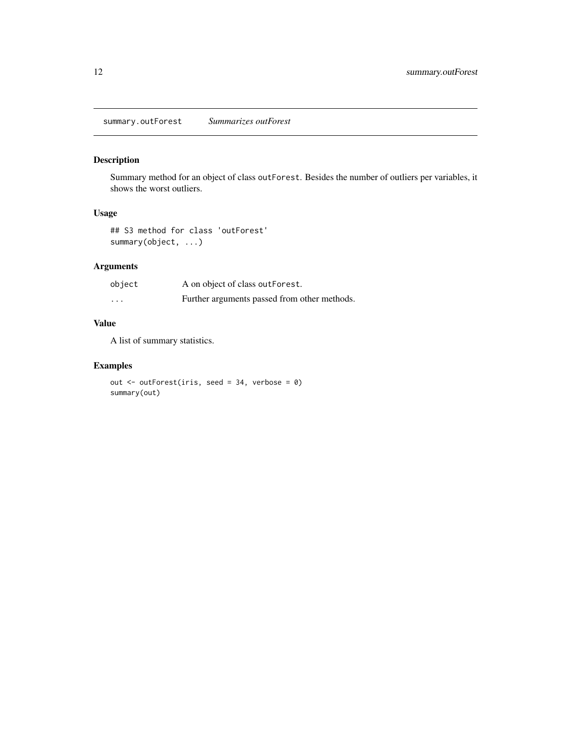#### <span id="page-11-1"></span><span id="page-11-0"></span>Description

Summary method for an object of class outForest. Besides the number of outliers per variables, it shows the worst outliers.

#### Usage

## S3 method for class 'outForest' summary(object, ...)

#### Arguments

| object   | A on object of class outForest.              |
|----------|----------------------------------------------|
| $\cdots$ | Further arguments passed from other methods. |

#### Value

A list of summary statistics.

```
out <- outForest(iris, seed = 34, verbose = 0)
summary(out)
```